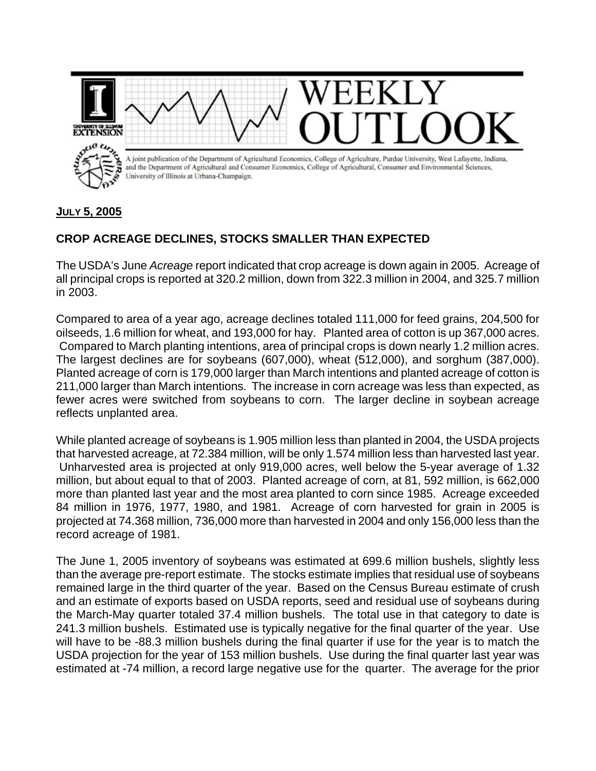

## **JULY 5, 2005**

## **CROP ACREAGE DECLINES, STOCKS SMALLER THAN EXPECTED**

The USDA's June *Acreage* report indicated that crop acreage is down again in 2005. Acreage of all principal crops is reported at 320.2 million, down from 322.3 million in 2004, and 325.7 million in 2003.

Compared to area of a year ago, acreage declines totaled 111,000 for feed grains, 204,500 for oilseeds, 1.6 million for wheat, and 193,000 for hay. Planted area of cotton is up 367,000 acres. Compared to March planting intentions, area of principal crops is down nearly 1.2 million acres. The largest declines are for soybeans (607,000), wheat (512,000), and sorghum (387,000). Planted acreage of corn is 179,000 larger than March intentions and planted acreage of cotton is 211,000 larger than March intentions. The increase in corn acreage was less than expected, as fewer acres were switched from soybeans to corn. The larger decline in soybean acreage reflects unplanted area.

While planted acreage of soybeans is 1.905 million less than planted in 2004, the USDA projects that harvested acreage, at 72.384 million, will be only 1.574 million less than harvested last year. Unharvested area is projected at only 919,000 acres, well below the 5-year average of 1.32 million, but about equal to that of 2003. Planted acreage of corn, at 81, 592 million, is 662,000 more than planted last year and the most area planted to corn since 1985. Acreage exceeded 84 million in 1976, 1977, 1980, and 1981. Acreage of corn harvested for grain in 2005 is projected at 74.368 million, 736,000 more than harvested in 2004 and only 156,000 less than the record acreage of 1981.

The June 1, 2005 inventory of soybeans was estimated at 699.6 million bushels, slightly less than the average pre-report estimate. The stocks estimate implies that residual use of soybeans remained large in the third quarter of the year. Based on the Census Bureau estimate of crush and an estimate of exports based on USDA reports, seed and residual use of soybeans during the March-May quarter totaled 37.4 million bushels. The total use in that category to date is 241.3 million bushels. Estimated use is typically negative for the final quarter of the year. Use will have to be -88.3 million bushels during the final quarter if use for the year is to match the USDA projection for the year of 153 million bushels. Use during the final quarter last year was estimated at -74 million, a record large negative use for the quarter. The average for the prior